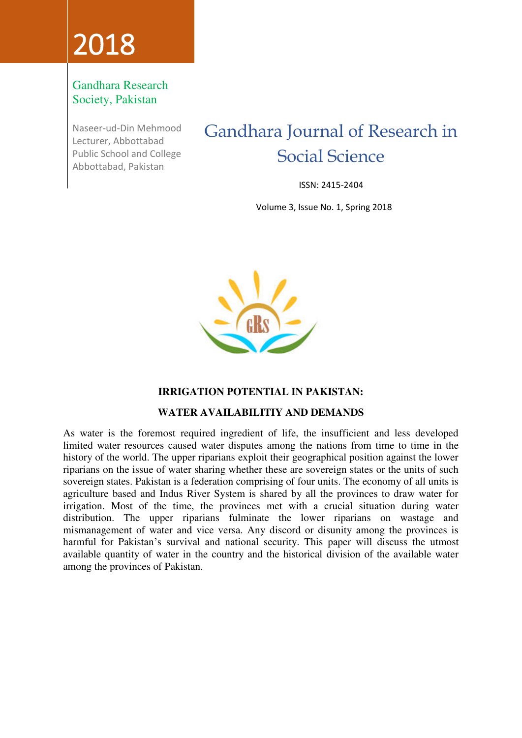# 2018

#### Gandhara Research Society, Pakistan

Naseer-ud-Din Mehmood Lecturer, Abbottabad Public School and College Abbottabad, Pakistan

### Gandhara Journal of Research in Social Science

ISSN: 2415-2404

Volume 3, Issue No. 1, Spring 2018



#### **IRRIGATION POTENTIAL IN PAKISTAN:**

#### **WATER AVAILABILITIY AND DEMANDS**

As water is the foremost required ingredient of life, the insufficient and less developed limited water resources caused water disputes among the nations from time to time in the history of the world. The upper riparians exploit their geographical position against the lower riparians on the issue of water sharing whether these are sovereign states or the units of such sovereign states. Pakistan is a federation comprising of four units. The economy of all units is agriculture based and Indus River System is shared by all the provinces to draw water for irrigation. Most of the time, the provinces met with a crucial situation during water distribution. The upper riparians fulminate the lower riparians on wastage and mismanagement of water and vice versa. Any discord or disunity among the provinces is harmful for Pakistan's survival and national security. This paper will discuss the utmost available quantity of water in the country and the historical division of the available water among the provinces of Pakistan.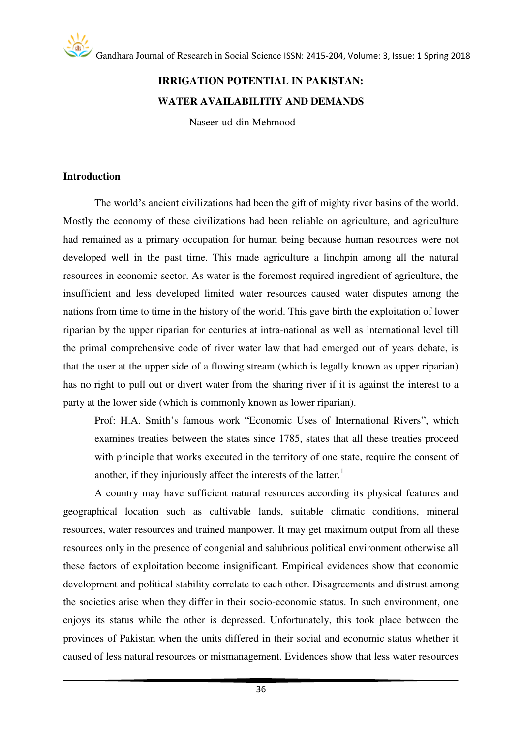#### **IRRIGATION POTENTIAL IN PAKISTAN: WATER AVAILABILITIY AND DEMANDS**

Naseer-ud-din Mehmood

#### **Introduction**

The world's ancient civilizations had been the gift of mighty river basins of the world. Mostly the economy of these civilizations had been reliable on agriculture, and agriculture had remained as a primary occupation for human being because human resources were not developed well in the past time. This made agriculture a linchpin among all the natural resources in economic sector. As water is the foremost required ingredient of agriculture, the insufficient and less developed limited water resources caused water disputes among the nations from time to time in the history of the world. This gave birth the exploitation of lower riparian by the upper riparian for centuries at intra-national as well as international level till the primal comprehensive code of river water law that had emerged out of years debate, is that the user at the upper side of a flowing stream (which is legally known as upper riparian) has no right to pull out or divert water from the sharing river if it is against the interest to a party at the lower side (which is commonly known as lower riparian).

Prof: H.A. Smith's famous work "Economic Uses of International Rivers", which examines treaties between the states since 1785, states that all these treaties proceed with principle that works executed in the territory of one state, require the consent of another, if they injuriously affect the interests of the latter.<sup>1</sup>

 A country may have sufficient natural resources according its physical features and geographical location such as cultivable lands, suitable climatic conditions, mineral resources, water resources and trained manpower. It may get maximum output from all these resources only in the presence of congenial and salubrious political environment otherwise all these factors of exploitation become insignificant. Empirical evidences show that economic development and political stability correlate to each other. Disagreements and distrust among the societies arise when they differ in their socio-economic status. In such environment, one enjoys its status while the other is depressed. Unfortunately, this took place between the provinces of Pakistan when the units differed in their social and economic status whether it caused of less natural resources or mismanagement. Evidences show that less water resources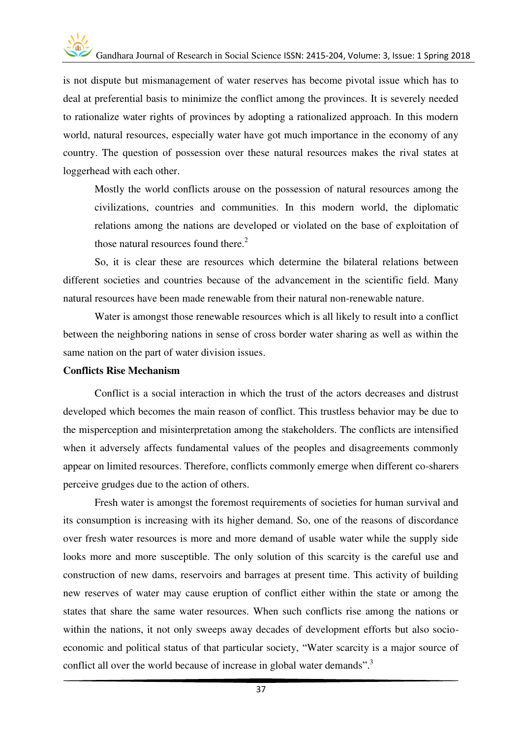is not dispute but mismanagement of water reserves has become pivotal issue which has to deal at preferential basis to minimize the conflict among the provinces. It is severely needed to rationalize water rights of provinces by adopting a rationalized approach. In this modern world, natural resources, especially water have got much importance in the economy of any country. The question of possession over these natural resources makes the rival states at loggerhead with each other.

Mostly the world conflicts arouse on the possession of natural resources among the civilizations, countries and communities. In this modern world, the diplomatic relations among the nations are developed or violated on the base of exploitation of those natural resources found there. $<sup>2</sup>$ </sup>

So, it is clear these are resources which determine the bilateral relations between different societies and countries because of the advancement in the scientific field. Many natural resources have been made renewable from their natural non-renewable nature.

Water is amongst those renewable resources which is all likely to result into a conflict between the neighboring nations in sense of cross border water sharing as well as within the same nation on the part of water division issues.

#### **Conflicts Rise Mechanism**

Conflict is a social interaction in which the trust of the actors decreases and distrust developed which becomes the main reason of conflict. This trustless behavior may be due to the misperception and misinterpretation among the stakeholders. The conflicts are intensified when it adversely affects fundamental values of the peoples and disagreements commonly appear on limited resources. Therefore, conflicts commonly emerge when different co-sharers perceive grudges due to the action of others.

Fresh water is amongst the foremost requirements of societies for human survival and its consumption is increasing with its higher demand. So, one of the reasons of discordance over fresh water resources is more and more demand of usable water while the supply side looks more and more susceptible. The only solution of this scarcity is the careful use and construction of new dams, reservoirs and barrages at present time. This activity of building new reserves of water may cause eruption of conflict either within the state or among the states that share the same water resources. When such conflicts rise among the nations or within the nations, it not only sweeps away decades of development efforts but also socioeconomic and political status of that particular society, "Water scarcity is a major source of conflict all over the world because of increase in global water demands".<sup>3</sup>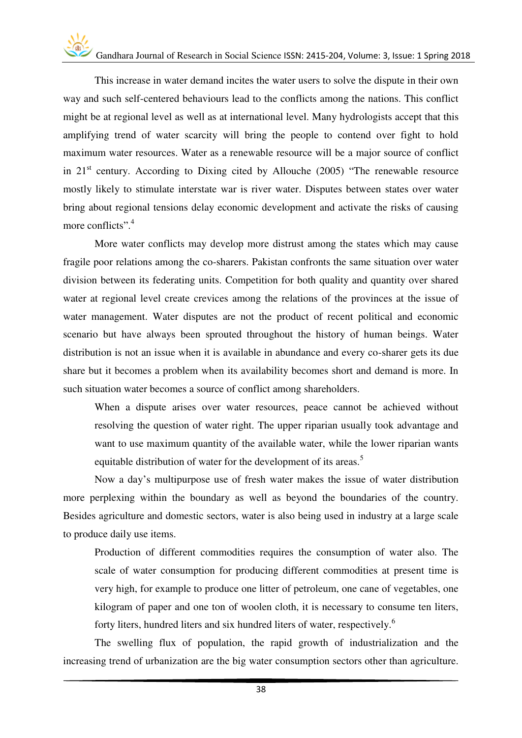## Gandhara Journal of Research in Social Science ISSN: 2415-204, Volume: 3, Issue: 1 Spring 2018

This increase in water demand incites the water users to solve the dispute in their own way and such self-centered behaviours lead to the conflicts among the nations. This conflict might be at regional level as well as at international level. Many hydrologists accept that this amplifying trend of water scarcity will bring the people to contend over fight to hold maximum water resources. Water as a renewable resource will be a major source of conflict in  $21<sup>st</sup>$  century. According to Dixing cited by Allouche (2005) "The renewable resource mostly likely to stimulate interstate war is river water. Disputes between states over water bring about regional tensions delay economic development and activate the risks of causing more conflicts". 4

More water conflicts may develop more distrust among the states which may cause fragile poor relations among the co-sharers. Pakistan confronts the same situation over water division between its federating units. Competition for both quality and quantity over shared water at regional level create crevices among the relations of the provinces at the issue of water management. Water disputes are not the product of recent political and economic scenario but have always been sprouted throughout the history of human beings. Water distribution is not an issue when it is available in abundance and every co-sharer gets its due share but it becomes a problem when its availability becomes short and demand is more. In such situation water becomes a source of conflict among shareholders.

When a dispute arises over water resources, peace cannot be achieved without resolving the question of water right. The upper riparian usually took advantage and want to use maximum quantity of the available water, while the lower riparian wants equitable distribution of water for the development of its areas.<sup>5</sup>

Now a day's multipurpose use of fresh water makes the issue of water distribution more perplexing within the boundary as well as beyond the boundaries of the country. Besides agriculture and domestic sectors, water is also being used in industry at a large scale to produce daily use items.

Production of different commodities requires the consumption of water also. The scale of water consumption for producing different commodities at present time is very high, for example to produce one litter of petroleum, one cane of vegetables, one kilogram of paper and one ton of woolen cloth, it is necessary to consume ten liters, forty liters, hundred liters and six hundred liters of water, respectively.<sup>6</sup>

The swelling flux of population, the rapid growth of industrialization and the increasing trend of urbanization are the big water consumption sectors other than agriculture.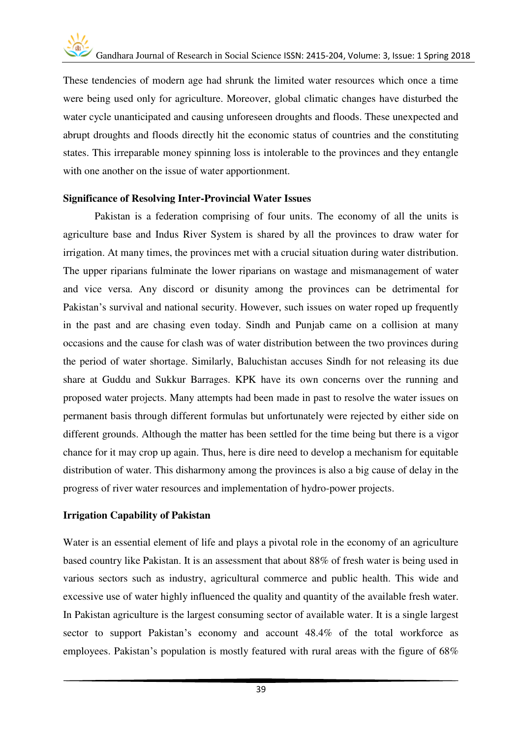These tendencies of modern age had shrunk the limited water resources which once a time were being used only for agriculture. Moreover, global climatic changes have disturbed the water cycle unanticipated and causing unforeseen droughts and floods. These unexpected and abrupt droughts and floods directly hit the economic status of countries and the constituting states. This irreparable money spinning loss is intolerable to the provinces and they entangle with one another on the issue of water apportionment.

#### **Significance of Resolving Inter-Provincial Water Issues**

Pakistan is a federation comprising of four units. The economy of all the units is agriculture base and Indus River System is shared by all the provinces to draw water for irrigation. At many times, the provinces met with a crucial situation during water distribution. The upper riparians fulminate the lower riparians on wastage and mismanagement of water and vice versa. Any discord or disunity among the provinces can be detrimental for Pakistan's survival and national security. However, such issues on water roped up frequently in the past and are chasing even today. Sindh and Punjab came on a collision at many occasions and the cause for clash was of water distribution between the two provinces during the period of water shortage. Similarly, Baluchistan accuses Sindh for not releasing its due share at Guddu and Sukkur Barrages. KPK have its own concerns over the running and proposed water projects. Many attempts had been made in past to resolve the water issues on permanent basis through different formulas but unfortunately were rejected by either side on different grounds. Although the matter has been settled for the time being but there is a vigor chance for it may crop up again. Thus, here is dire need to develop a mechanism for equitable distribution of water. This disharmony among the provinces is also a big cause of delay in the progress of river water resources and implementation of hydro-power projects.

#### **Irrigation Capability of Pakistan**

Water is an essential element of life and plays a pivotal role in the economy of an agriculture based country like Pakistan. It is an assessment that about 88% of fresh water is being used in various sectors such as industry, agricultural commerce and public health. This wide and excessive use of water highly influenced the quality and quantity of the available fresh water. In Pakistan agriculture is the largest consuming sector of available water. It is a single largest sector to support Pakistan's economy and account 48.4% of the total workforce as employees. Pakistan's population is mostly featured with rural areas with the figure of 68%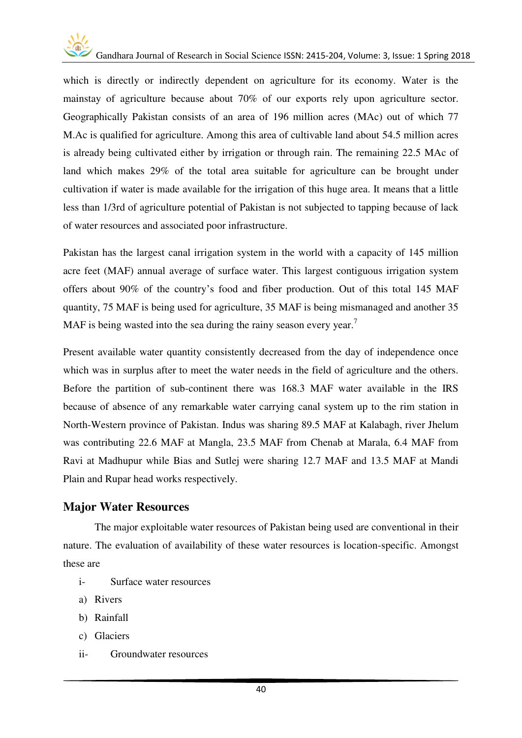

which is directly or indirectly dependent on agriculture for its economy. Water is the mainstay of agriculture because about 70% of our exports rely upon agriculture sector. Geographically Pakistan consists of an area of 196 million acres (MAc) out of which 77 M.Ac is qualified for agriculture. Among this area of cultivable land about 54.5 million acres is already being cultivated either by irrigation or through rain. The remaining 22.5 MAc of land which makes 29% of the total area suitable for agriculture can be brought under cultivation if water is made available for the irrigation of this huge area. It means that a little less than 1/3rd of agriculture potential of Pakistan is not subjected to tapping because of lack of water resources and associated poor infrastructure.

Pakistan has the largest canal irrigation system in the world with a capacity of 145 million acre feet (MAF) annual average of surface water. This largest contiguous irrigation system offers about 90% of the country's food and fiber production. Out of this total 145 MAF quantity, 75 MAF is being used for agriculture, 35 MAF is being mismanaged and another 35 MAF is being wasted into the sea during the rainy season every year.<sup>7</sup>

Present available water quantity consistently decreased from the day of independence once which was in surplus after to meet the water needs in the field of agriculture and the others. Before the partition of sub-continent there was 168.3 MAF water available in the IRS because of absence of any remarkable water carrying canal system up to the rim station in North-Western province of Pakistan. Indus was sharing 89.5 MAF at Kalabagh, river Jhelum was contributing 22.6 MAF at Mangla, 23.5 MAF from Chenab at Marala, 6.4 MAF from Ravi at Madhupur while Bias and Sutlej were sharing 12.7 MAF and 13.5 MAF at Mandi Plain and Rupar head works respectively.

#### **Major Water Resources**

The major exploitable water resources of Pakistan being used are conventional in their nature. The evaluation of availability of these water resources is location-specific. Amongst these are

- i- Surface water resources
- a) Rivers
- b) Rainfall
- c) Glaciers
- ii- Groundwater resources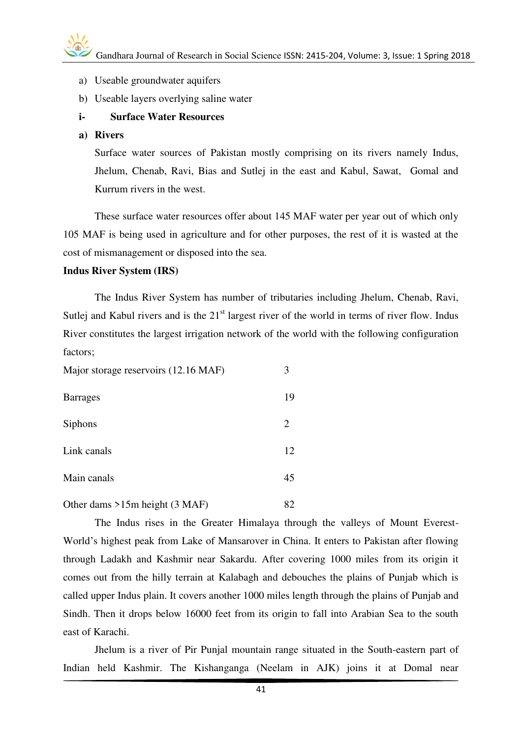- a) Useable groundwater aquifers
- b) Useable layers overlying saline water

#### **i- Surface Water Resources**

**a) Rivers** 

Surface water sources of Pakistan mostly comprising on its rivers namely Indus, Jhelum, Chenab, Ravi, Bias and Sutlej in the east and Kabul, Sawat, Gomal and Kurrum rivers in the west.

 These surface water resources offer about 145 MAF water per year out of which only 105 MAF is being used in agriculture and for other purposes, the rest of it is wasted at the cost of mismanagement or disposed into the sea.

#### **Indus River System (IRS)**

 The Indus River System has number of tributaries including Jhelum, Chenab, Ravi, Sutlej and Kabul rivers and is the  $21<sup>st</sup>$  largest river of the world in terms of river flow. Indus River constitutes the largest irrigation network of the world with the following configuration factors;

| Major storage reservoirs (12.16 MAF) | 3  |
|--------------------------------------|----|
| <b>Barrages</b>                      | 19 |
| <b>Siphons</b>                       | 2  |
| Link canals                          | 12 |
| Main canals                          | 45 |
| Other dams $>15m$ height (3 MAF)     | 82 |

The Indus rises in the Greater Himalaya through the valleys of Mount Everest-World's highest peak from Lake of Mansarover in China. It enters to Pakistan after flowing through Ladakh and Kashmir near Sakardu. After covering 1000 miles from its origin it comes out from the hilly terrain at Kalabagh and debouches the plains of Punjab which is called upper Indus plain. It covers another 1000 miles length through the plains of Punjab and Sindh. Then it drops below 16000 feet from its origin to fall into Arabian Sea to the south east of Karachi.

Jhelum is a river of Pir Punjal mountain range situated in the South-eastern part of Indian held Kashmir. The Kishanganga (Neelam in AJK) joins it at Domal near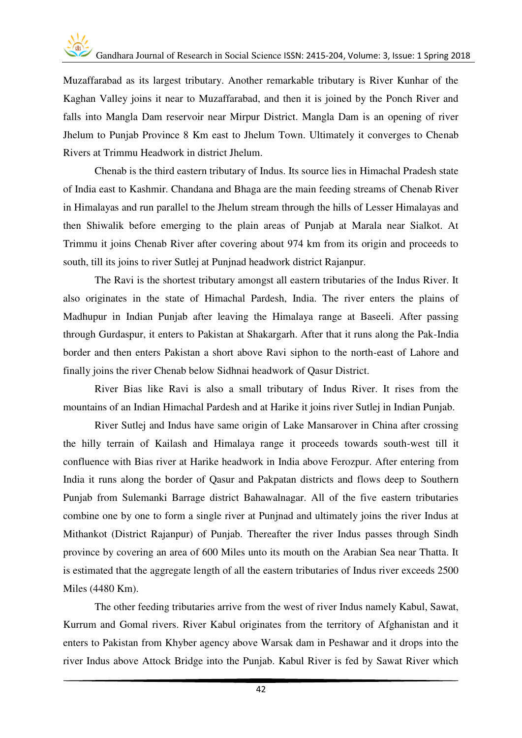Muzaffarabad as its largest tributary. Another remarkable tributary is River Kunhar of the Kaghan Valley joins it near to Muzaffarabad, and then it is joined by the Ponch River and falls into Mangla Dam reservoir near Mirpur District. Mangla Dam is an opening of river Jhelum to Punjab Province 8 Km east to Jhelum Town. Ultimately it converges to Chenab Rivers at Trimmu Headwork in district Jhelum.

Chenab is the third eastern tributary of Indus. Its source lies in Himachal Pradesh state of India east to Kashmir. Chandana and Bhaga are the main feeding streams of Chenab River in Himalayas and run parallel to the Jhelum stream through the hills of Lesser Himalayas and then Shiwalik before emerging to the plain areas of Punjab at Marala near Sialkot. At Trimmu it joins Chenab River after covering about 974 km from its origin and proceeds to south, till its joins to river Sutlej at Punjnad headwork district Rajanpur.

 The Ravi is the shortest tributary amongst all eastern tributaries of the Indus River. It also originates in the state of Himachal Pardesh, India. The river enters the plains of Madhupur in Indian Punjab after leaving the Himalaya range at Baseeli. After passing through Gurdaspur, it enters to Pakistan at Shakargarh. After that it runs along the Pak-India border and then enters Pakistan a short above Ravi siphon to the north-east of Lahore and finally joins the river Chenab below Sidhnai headwork of Qasur District.

 River Bias like Ravi is also a small tributary of Indus River. It rises from the mountains of an Indian Himachal Pardesh and at Harike it joins river Sutlej in Indian Punjab.

 River Sutlej and Indus have same origin of Lake Mansarover in China after crossing the hilly terrain of Kailash and Himalaya range it proceeds towards south-west till it confluence with Bias river at Harike headwork in India above Ferozpur. After entering from India it runs along the border of Qasur and Pakpatan districts and flows deep to Southern Punjab from Sulemanki Barrage district Bahawalnagar. All of the five eastern tributaries combine one by one to form a single river at Punjnad and ultimately joins the river Indus at Mithankot (District Rajanpur) of Punjab. Thereafter the river Indus passes through Sindh province by covering an area of 600 Miles unto its mouth on the Arabian Sea near Thatta. It is estimated that the aggregate length of all the eastern tributaries of Indus river exceeds 2500 Miles (4480 Km).

 The other feeding tributaries arrive from the west of river Indus namely Kabul, Sawat, Kurrum and Gomal rivers. River Kabul originates from the territory of Afghanistan and it enters to Pakistan from Khyber agency above Warsak dam in Peshawar and it drops into the river Indus above Attock Bridge into the Punjab. Kabul River is fed by Sawat River which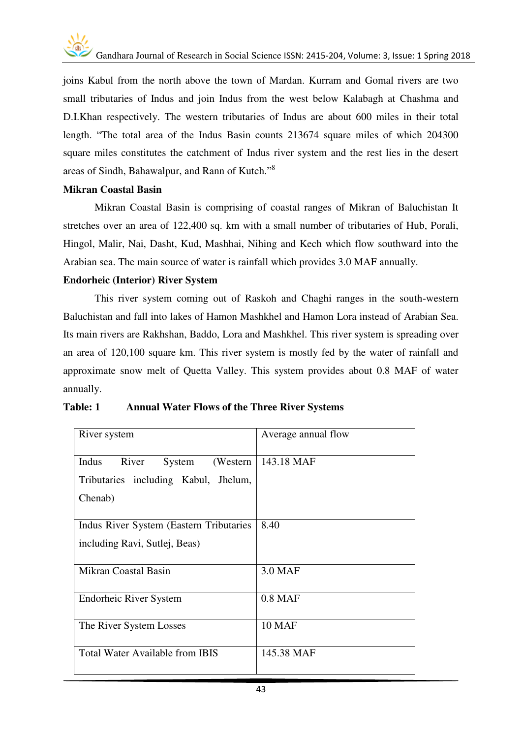joins Kabul from the north above the town of Mardan. Kurram and Gomal rivers are two small tributaries of Indus and join Indus from the west below Kalabagh at Chashma and D.I.Khan respectively. The western tributaries of Indus are about 600 miles in their total length. "The total area of the Indus Basin counts 213674 square miles of which 204300 square miles constitutes the catchment of Indus river system and the rest lies in the desert areas of Sindh, Bahawalpur, and Rann of Kutch."<sup>8</sup>

#### **Mikran Coastal Basin**

Mikran Coastal Basin is comprising of coastal ranges of Mikran of Baluchistan It stretches over an area of 122,400 sq. km with a small number of tributaries of Hub, Porali, Hingol, Malir, Nai, Dasht, Kud, Mashhai, Nihing and Kech which flow southward into the Arabian sea. The main source of water is rainfall which provides 3.0 MAF annually.

#### **Endorheic (Interior) River System**

 This river system coming out of Raskoh and Chaghi ranges in the south-western Baluchistan and fall into lakes of Hamon Mashkhel and Hamon Lora instead of Arabian Sea. Its main rivers are Rakhshan, Baddo, Lora and Mashkhel. This river system is spreading over an area of 120,100 square km. This river system is mostly fed by the water of rainfall and approximate snow melt of Quetta Valley. This system provides about 0.8 MAF of water annually.

| River system                                                                             | Average annual flow |
|------------------------------------------------------------------------------------------|---------------------|
| Indus<br>River<br>System<br>(Western)<br>Tributaries including Kabul, Jhelum,<br>Chenab) | 143.18 MAF          |
| Indus River System (Eastern Tributaries)<br>including Ravi, Sutlej, Beas)                | 8.40                |
| Mikran Coastal Basin                                                                     | 3.0 MAF             |
| Endorheic River System                                                                   | $0.8$ MAF           |
| The River System Losses                                                                  | <b>10 MAF</b>       |
| <b>Total Water Available from IBIS</b>                                                   | 145.38 MAF          |

#### **Table: 1 Annual Water Flows of the Three River Systems**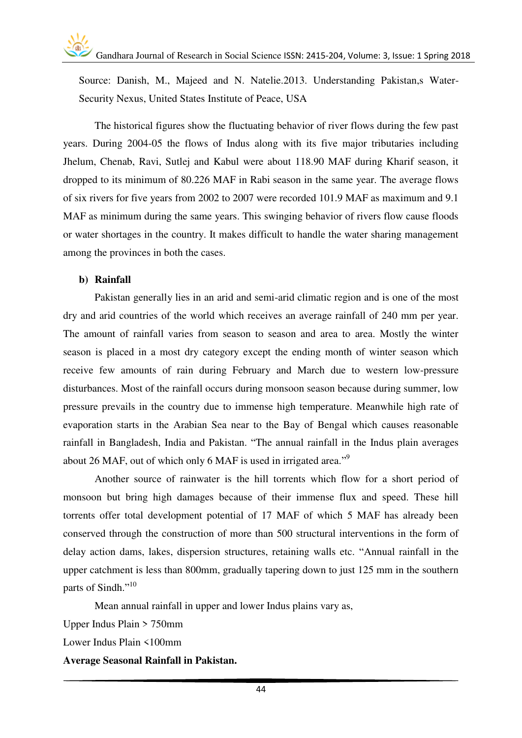Source: Danish, M., Majeed and N. Natelie.2013. Understanding Pakistan,s Water-Security Nexus, United States Institute of Peace, USA

The historical figures show the fluctuating behavior of river flows during the few past years. During 2004-05 the flows of Indus along with its five major tributaries including Jhelum, Chenab, Ravi, Sutlej and Kabul were about 118.90 MAF during Kharif season, it dropped to its minimum of 80.226 MAF in Rabi season in the same year. The average flows of six rivers for five years from 2002 to 2007 were recorded 101.9 MAF as maximum and 9.1 MAF as minimum during the same years. This swinging behavior of rivers flow cause floods or water shortages in the country. It makes difficult to handle the water sharing management among the provinces in both the cases.

#### **b) Rainfall**

Pakistan generally lies in an arid and semi-arid climatic region and is one of the most dry and arid countries of the world which receives an average rainfall of 240 mm per year. The amount of rainfall varies from season to season and area to area. Mostly the winter season is placed in a most dry category except the ending month of winter season which receive few amounts of rain during February and March due to western low-pressure disturbances. Most of the rainfall occurs during monsoon season because during summer, low pressure prevails in the country due to immense high temperature. Meanwhile high rate of evaporation starts in the Arabian Sea near to the Bay of Bengal which causes reasonable rainfall in Bangladesh, India and Pakistan. "The annual rainfall in the Indus plain averages about 26 MAF, out of which only 6 MAF is used in irrigated area."<sup>9</sup>

Another source of rainwater is the hill torrents which flow for a short period of monsoon but bring high damages because of their immense flux and speed. These hill torrents offer total development potential of 17 MAF of which 5 MAF has already been conserved through the construction of more than 500 structural interventions in the form of delay action dams, lakes, dispersion structures, retaining walls etc. "Annual rainfall in the upper catchment is less than 800mm, gradually tapering down to just 125 mm in the southern parts of Sindh."<sup>10</sup>

Mean annual rainfall in upper and lower Indus plains vary as,

Upper Indus Plain > 750mm Lower Indus Plain <100mm

**Average Seasonal Rainfall in Pakistan.**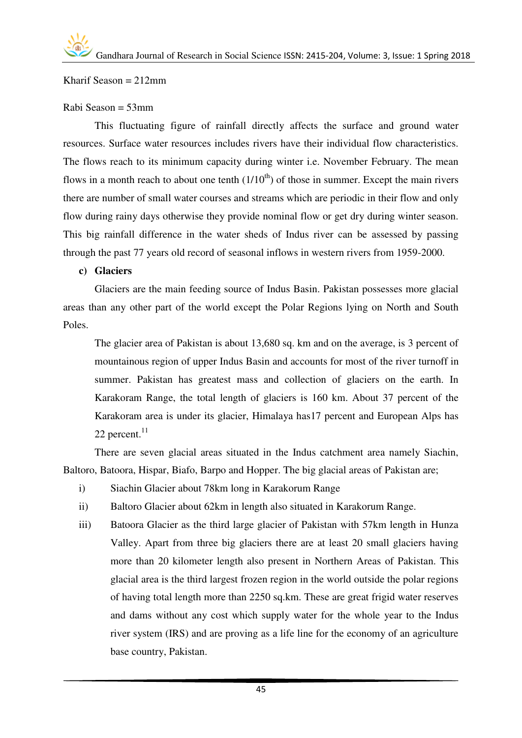Kharif Season  $= 212$ mm

#### Rabi Season = 53mm

This fluctuating figure of rainfall directly affects the surface and ground water resources. Surface water resources includes rivers have their individual flow characteristics. The flows reach to its minimum capacity during winter i.e. November February. The mean flows in a month reach to about one tenth  $(1/10<sup>th</sup>)$  of those in summer. Except the main rivers there are number of small water courses and streams which are periodic in their flow and only flow during rainy days otherwise they provide nominal flow or get dry during winter season. This big rainfall difference in the water sheds of Indus river can be assessed by passing through the past 77 years old record of seasonal inflows in western rivers from 1959-2000.

#### **c) Glaciers**

Glaciers are the main feeding source of Indus Basin. Pakistan possesses more glacial areas than any other part of the world except the Polar Regions lying on North and South Poles.

The glacier area of Pakistan is about 13,680 sq. km and on the average, is 3 percent of mountainous region of upper Indus Basin and accounts for most of the river turnoff in summer. Pakistan has greatest mass and collection of glaciers on the earth. In Karakoram Range, the total length of glaciers is 160 km. About 37 percent of the Karakoram area is under its glacier, Himalaya has17 percent and European Alps has 22 percent. $11$ 

There are seven glacial areas situated in the Indus catchment area namely Siachin, Baltoro, Batoora, Hispar, Biafo, Barpo and Hopper. The big glacial areas of Pakistan are;

- i) Siachin Glacier about 78km long in Karakorum Range
- ii) Baltoro Glacier about 62km in length also situated in Karakorum Range.
- iii) Batoora Glacier as the third large glacier of Pakistan with 57km length in Hunza Valley. Apart from three big glaciers there are at least 20 small glaciers having more than 20 kilometer length also present in Northern Areas of Pakistan. This glacial area is the third largest frozen region in the world outside the polar regions of having total length more than 2250 sq.km. These are great frigid water reserves and dams without any cost which supply water for the whole year to the Indus river system (IRS) and are proving as a life line for the economy of an agriculture base country, Pakistan.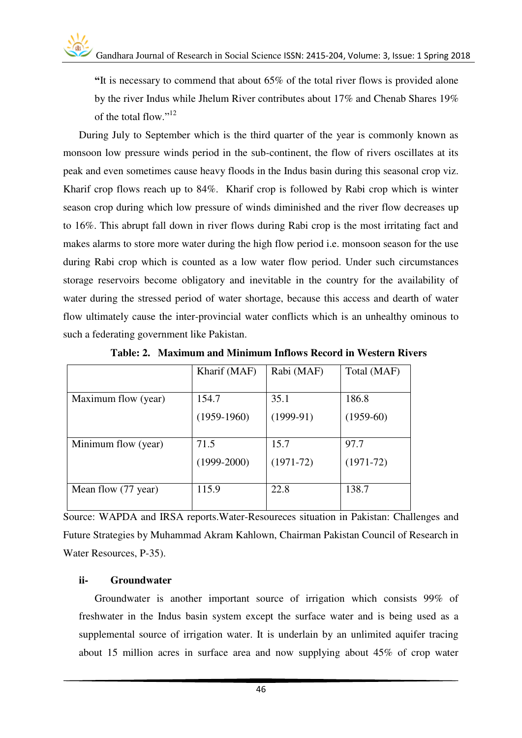**"**It is necessary to commend that about 65% of the total river flows is provided alone by the river Indus while Jhelum River contributes about 17% and Chenab Shares 19% of the total flow." 12

During July to September which is the third quarter of the year is commonly known as monsoon low pressure winds period in the sub-continent, the flow of rivers oscillates at its peak and even sometimes cause heavy floods in the Indus basin during this seasonal crop viz. Kharif crop flows reach up to 84%. Kharif crop is followed by Rabi crop which is winter season crop during which low pressure of winds diminished and the river flow decreases up to 16%. This abrupt fall down in river flows during Rabi crop is the most irritating fact and makes alarms to store more water during the high flow period i.e. monsoon season for the use during Rabi crop which is counted as a low water flow period. Under such circumstances storage reservoirs become obligatory and inevitable in the country for the availability of water during the stressed period of water shortage, because this access and dearth of water flow ultimately cause the inter-provincial water conflicts which is an unhealthy ominous to such a federating government like Pakistan.

|                     | Kharif (MAF)  | Rabi (MAF)  | Total (MAF) |
|---------------------|---------------|-------------|-------------|
|                     |               |             |             |
| Maximum flow (year) | 154.7         | 35.1        | 186.8       |
|                     | $(1959-1960)$ | $(1999-91)$ | $(1959-60)$ |
|                     |               |             |             |
| Minimum flow (year) | 71.5          | 15.7        | 97.7        |
|                     | $(1999-2000)$ | $(1971-72)$ | $(1971-72)$ |
|                     | 115.9         | 22.8        | 138.7       |
| Mean flow (77 year) |               |             |             |

**Table: 2. Maximum and Minimum Inflows Record in Western Rivers**

Source: WAPDA and IRSA reports.Water-Resoureces situation in Pakistan: Challenges and Future Strategies by Muhammad Akram Kahlown, Chairman Pakistan Council of Research in Water Resources, P-35).

#### **ii- Groundwater**

Groundwater is another important source of irrigation which consists 99% of freshwater in the Indus basin system except the surface water and is being used as a supplemental source of irrigation water. It is underlain by an unlimited aquifer tracing about 15 million acres in surface area and now supplying about 45% of crop water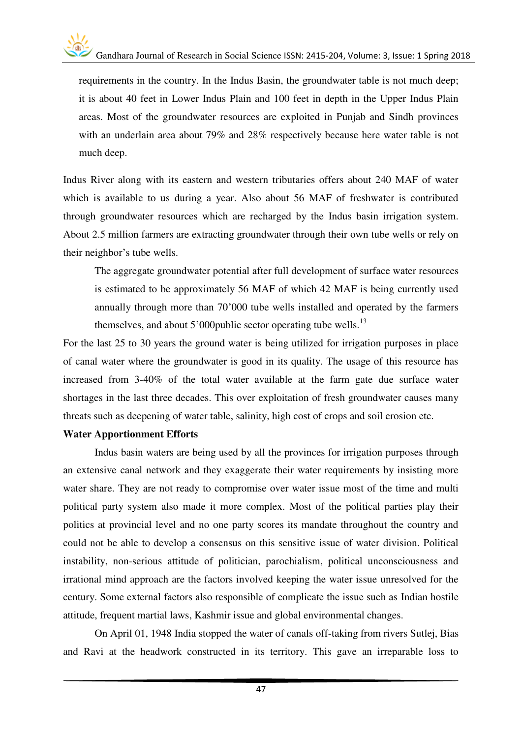requirements in the country. In the Indus Basin, the groundwater table is not much deep; it is about 40 feet in Lower Indus Plain and 100 feet in depth in the Upper Indus Plain areas. Most of the groundwater resources are exploited in Punjab and Sindh provinces with an underlain area about 79% and 28% respectively because here water table is not much deep.

Indus River along with its eastern and western tributaries offers about 240 MAF of water which is available to us during a year. Also about 56 MAF of freshwater is contributed through groundwater resources which are recharged by the Indus basin irrigation system. About 2.5 million farmers are extracting groundwater through their own tube wells or rely on their neighbor's tube wells.

The aggregate groundwater potential after full development of surface water resources is estimated to be approximately 56 MAF of which 42 MAF is being currently used annually through more than 70'000 tube wells installed and operated by the farmers themselves, and about  $5'000$  public sector operating tube wells.<sup>13</sup>

For the last 25 to 30 years the ground water is being utilized for irrigation purposes in place of canal water where the groundwater is good in its quality. The usage of this resource has increased from 3-40% of the total water available at the farm gate due surface water shortages in the last three decades. This over exploitation of fresh groundwater causes many threats such as deepening of water table, salinity, high cost of crops and soil erosion etc.

#### **Water Apportionment Efforts**

 Indus basin waters are being used by all the provinces for irrigation purposes through an extensive canal network and they exaggerate their water requirements by insisting more water share. They are not ready to compromise over water issue most of the time and multi political party system also made it more complex. Most of the political parties play their politics at provincial level and no one party scores its mandate throughout the country and could not be able to develop a consensus on this sensitive issue of water division. Political instability, non-serious attitude of politician, parochialism, political unconsciousness and irrational mind approach are the factors involved keeping the water issue unresolved for the century. Some external factors also responsible of complicate the issue such as Indian hostile attitude, frequent martial laws, Kashmir issue and global environmental changes.

 On April 01, 1948 India stopped the water of canals off-taking from rivers Sutlej, Bias and Ravi at the headwork constructed in its territory. This gave an irreparable loss to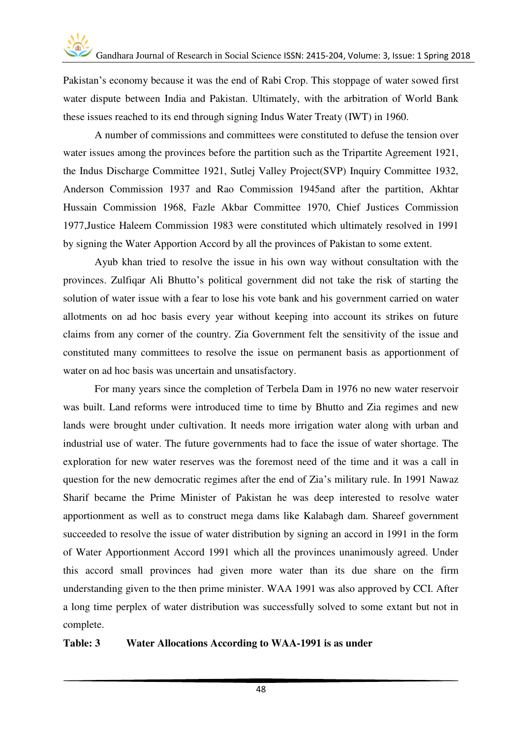Pakistan's economy because it was the end of Rabi Crop. This stoppage of water sowed first water dispute between India and Pakistan. Ultimately, with the arbitration of World Bank these issues reached to its end through signing Indus Water Treaty (IWT) in 1960.

 A number of commissions and committees were constituted to defuse the tension over water issues among the provinces before the partition such as the Tripartite Agreement 1921, the Indus Discharge Committee 1921, Sutlej Valley Project(SVP) Inquiry Committee 1932, Anderson Commission 1937 and Rao Commission 1945and after the partition, Akhtar Hussain Commission 1968, Fazle Akbar Committee 1970, Chief Justices Commission 1977,Justice Haleem Commission 1983 were constituted which ultimately resolved in 1991 by signing the Water Apportion Accord by all the provinces of Pakistan to some extent.

 Ayub khan tried to resolve the issue in his own way without consultation with the provinces. Zulfiqar Ali Bhutto's political government did not take the risk of starting the solution of water issue with a fear to lose his vote bank and his government carried on water allotments on ad hoc basis every year without keeping into account its strikes on future claims from any corner of the country. Zia Government felt the sensitivity of the issue and constituted many committees to resolve the issue on permanent basis as apportionment of water on ad hoc basis was uncertain and unsatisfactory.

 For many years since the completion of Terbela Dam in 1976 no new water reservoir was built. Land reforms were introduced time to time by Bhutto and Zia regimes and new lands were brought under cultivation. It needs more irrigation water along with urban and industrial use of water. The future governments had to face the issue of water shortage. The exploration for new water reserves was the foremost need of the time and it was a call in question for the new democratic regimes after the end of Zia's military rule. In 1991 Nawaz Sharif became the Prime Minister of Pakistan he was deep interested to resolve water apportionment as well as to construct mega dams like Kalabagh dam. Shareef government succeeded to resolve the issue of water distribution by signing an accord in 1991 in the form of Water Apportionment Accord 1991 which all the provinces unanimously agreed. Under this accord small provinces had given more water than its due share on the firm understanding given to the then prime minister. WAA 1991 was also approved by CCI. After a long time perplex of water distribution was successfully solved to some extant but not in complete.

#### **Table: 3 Water Allocations According to WAA-1991 is as under**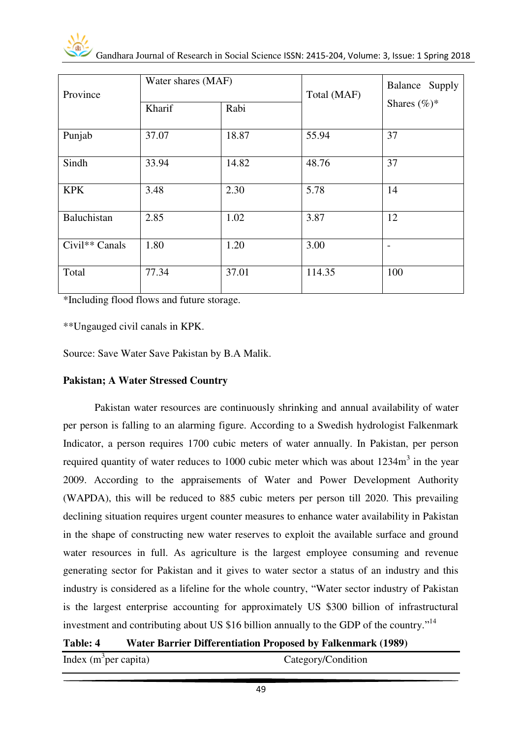| Province                   | Water shares (MAF) |       | Total (MAF) | Balance Supply  |
|----------------------------|--------------------|-------|-------------|-----------------|
|                            | Kharif             | Rabi  |             | Shares $(\%)^*$ |
| Punjab                     | 37.07              | 18.87 | 55.94       | 37              |
| Sindh                      | 33.94              | 14.82 | 48.76       | 37              |
| <b>KPK</b>                 | 3.48               | 2.30  | 5.78        | 14              |
| Baluchistan                | 2.85               | 1.02  | 3.87        | 12              |
| Civil <sup>**</sup> Canals | 1.80               | 1.20  | 3.00        |                 |
| Total                      | 77.34              | 37.01 | 114.35      | 100             |

\*Including flood flows and future storage.

\*\*Ungauged civil canals in KPK.

Source: Save Water Save Pakistan by B.A Malik.

#### **Pakistan; A Water Stressed Country**

Pakistan water resources are continuously shrinking and annual availability of water per person is falling to an alarming figure. According to a Swedish hydrologist Falkenmark Indicator, a person requires 1700 cubic meters of water annually. In Pakistan, per person required quantity of water reduces to 1000 cubic meter which was about  $1234m<sup>3</sup>$  in the year 2009. According to the appraisements of Water and Power Development Authority (WAPDA), this will be reduced to 885 cubic meters per person till 2020. This prevailing declining situation requires urgent counter measures to enhance water availability in Pakistan in the shape of constructing new water reserves to exploit the available surface and ground water resources in full. As agriculture is the largest employee consuming and revenue generating sector for Pakistan and it gives to water sector a status of an industry and this industry is considered as a lifeline for the whole country, "Water sector industry of Pakistan is the largest enterprise accounting for approximately US \$300 billion of infrastructural investment and contributing about US \$16 billion annually to the GDP of the country."<sup>14</sup>

#### **Table: 4 Water Barrier Differentiation Proposed by Falkenmark (1989)**

Index  $(m^3$ per capita)

Category/Condition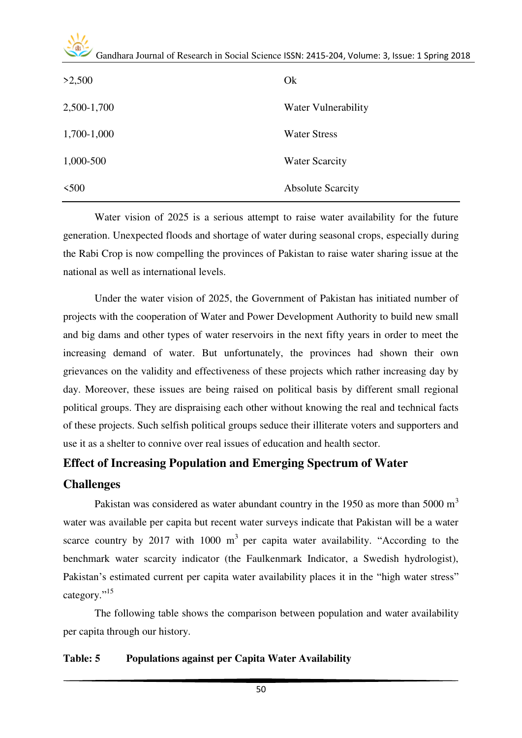| >2,500      | Ok                       |
|-------------|--------------------------|
| 2,500-1,700 | Water Vulnerability      |
| 1,700-1,000 | <b>Water Stress</b>      |
| 1,000-500   | <b>Water Scarcity</b>    |
| $<$ 500     | <b>Absolute Scarcity</b> |

Water vision of 2025 is a serious attempt to raise water availability for the future generation. Unexpected floods and shortage of water during seasonal crops, especially during the Rabi Crop is now compelling the provinces of Pakistan to raise water sharing issue at the national as well as international levels.

Under the water vision of 2025, the Government of Pakistan has initiated number of projects with the cooperation of Water and Power Development Authority to build new small and big dams and other types of water reservoirs in the next fifty years in order to meet the increasing demand of water. But unfortunately, the provinces had shown their own grievances on the validity and effectiveness of these projects which rather increasing day by day. Moreover, these issues are being raised on political basis by different small regional political groups. They are dispraising each other without knowing the real and technical facts of these projects. Such selfish political groups seduce their illiterate voters and supporters and use it as a shelter to connive over real issues of education and health sector.

#### **Effect of Increasing Population and Emerging Spectrum of Water**

#### **Challenges**

Pakistan was considered as water abundant country in the 1950 as more than 5000  $m<sup>3</sup>$ water was available per capita but recent water surveys indicate that Pakistan will be a water scarce country by 2017 with 1000  $m<sup>3</sup>$  per capita water availability. "According to the benchmark water scarcity indicator (the Faulkenmark Indicator, a Swedish hydrologist), Pakistan's estimated current per capita water availability places it in the "high water stress" category."<sup>15</sup>

The following table shows the comparison between population and water availability per capita through our history.

#### **Table: 5 Populations against per Capita Water Availability**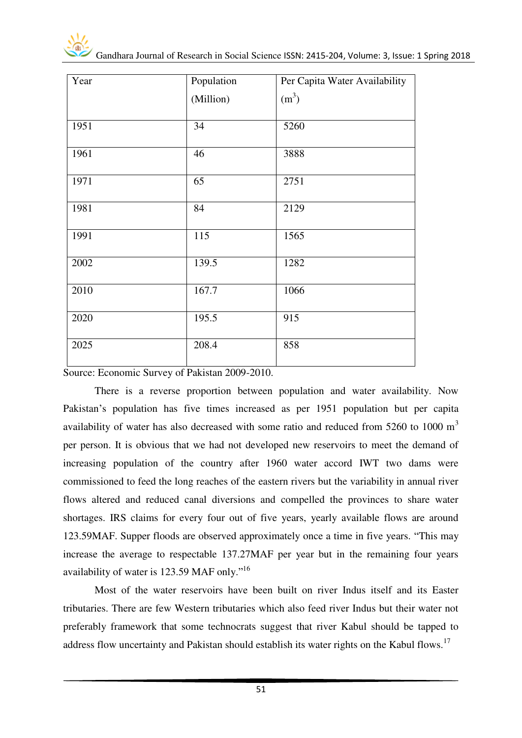| Year | Population | Per Capita Water Availability |
|------|------------|-------------------------------|
|      | (Million)  | (m <sup>3</sup> )             |
| 1951 | 34         | 5260                          |
| 1961 | 46         | 3888                          |
| 1971 | 65         | 2751                          |
| 1981 | 84         | 2129                          |
| 1991 | 115        | 1565                          |
| 2002 | 139.5      | 1282                          |
| 2010 | 167.7      | 1066                          |
| 2020 | 195.5      | 915                           |
| 2025 | 208.4      | 858                           |

Source: Economic Survey of Pakistan 2009-2010.

There is a reverse proportion between population and water availability. Now Pakistan's population has five times increased as per 1951 population but per capita availability of water has also decreased with some ratio and reduced from 5260 to 1000  $m<sup>3</sup>$ per person. It is obvious that we had not developed new reservoirs to meet the demand of increasing population of the country after 1960 water accord IWT two dams were commissioned to feed the long reaches of the eastern rivers but the variability in annual river flows altered and reduced canal diversions and compelled the provinces to share water shortages. IRS claims for every four out of five years, yearly available flows are around 123.59MAF. Supper floods are observed approximately once a time in five years. "This may increase the average to respectable 137.27MAF per year but in the remaining four years availability of water is 123.59 MAF only."<sup>16</sup>

Most of the water reservoirs have been built on river Indus itself and its Easter tributaries. There are few Western tributaries which also feed river Indus but their water not preferably framework that some technocrats suggest that river Kabul should be tapped to address flow uncertainty and Pakistan should establish its water rights on the Kabul flows.<sup>17</sup>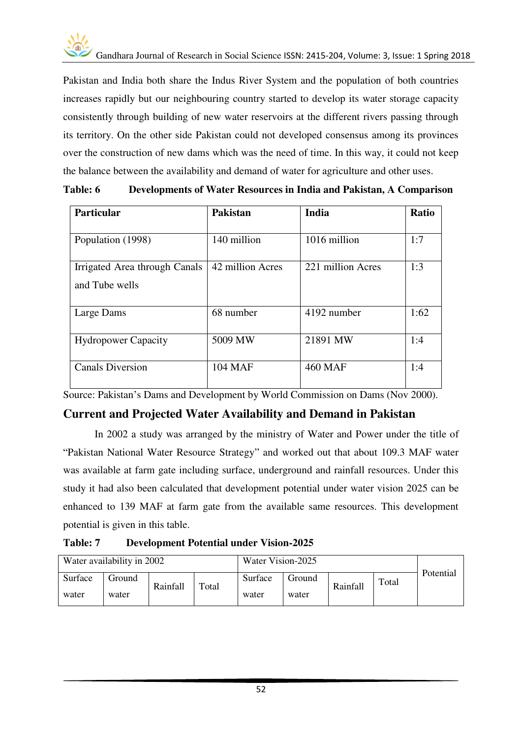

Pakistan and India both share the Indus River System and the population of both countries increases rapidly but our neighbouring country started to develop its water storage capacity consistently through building of new water reservoirs at the different rivers passing through its territory. On the other side Pakistan could not developed consensus among its provinces over the construction of new dams which was the need of time. In this way, it could not keep the balance between the availability and demand of water for agriculture and other uses.

| <b>Table: 6</b> | Developments of Water Resources in India and Pakistan, A Comparison |  |  |  |
|-----------------|---------------------------------------------------------------------|--|--|--|
|-----------------|---------------------------------------------------------------------|--|--|--|

| <b>Particular</b>             | <b>Pakistan</b>  | <b>India</b>      | <b>Ratio</b> |
|-------------------------------|------------------|-------------------|--------------|
|                               |                  |                   |              |
| Population (1998)             | 140 million      | 1016 million      | 1:7          |
| Irrigated Area through Canals | 42 million Acres | 221 million Acres | 1:3          |
| and Tube wells                |                  |                   |              |
| Large Dams                    | 68 number        | 4192 number       | 1:62         |
| <b>Hydropower Capacity</b>    | 5009 MW          | 21891 MW          | 1:4          |
| <b>Canals Diversion</b>       | <b>104 MAF</b>   | <b>460 MAF</b>    | 1:4          |

Source: Pakistan's Dams and Development by World Commission on Dams (Nov 2000).

#### **Current and Projected Water Availability and Demand in Pakistan**

In 2002 a study was arranged by the ministry of Water and Power under the title of "Pakistan National Water Resource Strategy" and worked out that about 109.3 MAF water was available at farm gate including surface, underground and rainfall resources. Under this study it had also been calculated that development potential under water vision 2025 can be enhanced to 139 MAF at farm gate from the available same resources. This development potential is given in this table.

**Table: 7 Development Potential under Vision-2025** 

| Water availability in 2002 |        | Water Vision-2025        |  |         |        |                   |  |           |
|----------------------------|--------|--------------------------|--|---------|--------|-------------------|--|-----------|
| Surface                    | Ground | <b>Rainfall</b><br>Total |  | Surface | Ground | Total<br>Rainfall |  | Potential |
| water                      | water  |                          |  | water   | water  |                   |  |           |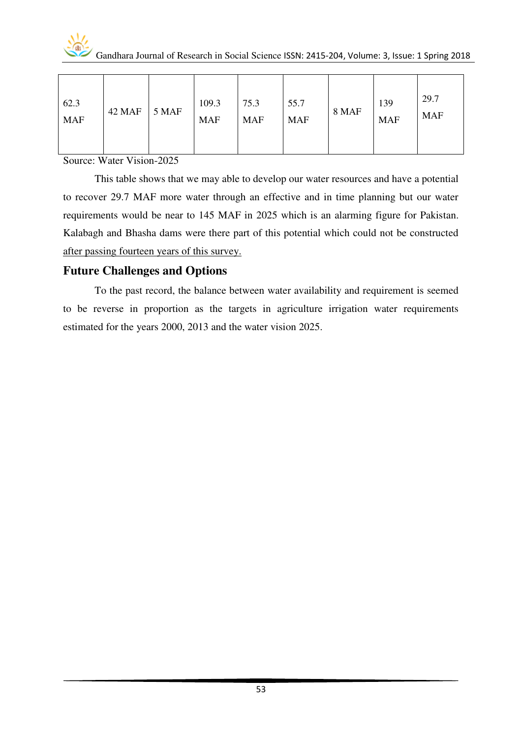

| 62.3<br><b>MAF</b> | 42 MAF | 5 MAF | 109.3<br><b>MAF</b> | 75.3<br><b>MAF</b> | 55.7<br><b>MAF</b> | 8 MAF | 139<br><b>MAF</b> | 29.7<br><b>MAF</b> |
|--------------------|--------|-------|---------------------|--------------------|--------------------|-------|-------------------|--------------------|
|--------------------|--------|-------|---------------------|--------------------|--------------------|-------|-------------------|--------------------|

Source: Water Vision-2025

This table shows that we may able to develop our water resources and have a potential to recover 29.7 MAF more water through an effective and in time planning but our water requirements would be near to 145 MAF in 2025 which is an alarming figure for Pakistan. Kalabagh and Bhasha dams were there part of this potential which could not be constructed after passing fourteen years of this survey.

#### **Future Challenges and Options**

To the past record, the balance between water availability and requirement is seemed to be reverse in proportion as the targets in agriculture irrigation water requirements estimated for the years 2000, 2013 and the water vision 2025.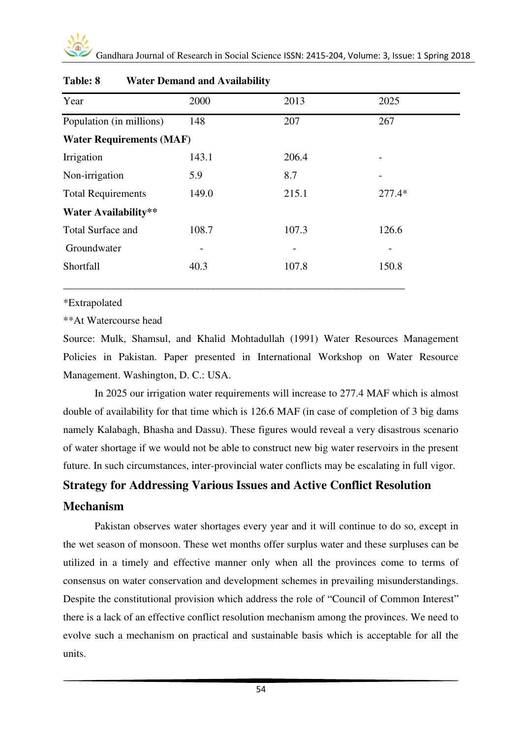| Year                            | 2000  | 2013  | 2025     |
|---------------------------------|-------|-------|----------|
| Population (in millions)        | 148   | 207   | 267      |
| <b>Water Requirements (MAF)</b> |       |       |          |
| Irrigation                      | 143.1 | 206.4 |          |
| Non-irrigation                  | 5.9   | 8.7   |          |
| <b>Total Requirements</b>       | 149.0 | 215.1 | $277.4*$ |
| <b>Water Availability**</b>     |       |       |          |
| <b>Total Surface and</b>        | 108.7 | 107.3 | 126.6    |
| Groundwater                     | -     |       |          |
| Shortfall                       | 40.3  | 107.8 | 150.8    |
|                                 |       |       |          |

#### **Table: 8 Water Demand and Availability**

\*Extrapolated

\*\*At Watercourse head

Source: Mulk, Shamsul, and Khalid Mohtadullah (1991) Water Resources Management Policies in Pakistan. Paper presented in International Workshop on Water Resource Management. Washington, D. C.: USA.

In 2025 our irrigation water requirements will increase to 277.4 MAF which is almost double of availability for that time which is 126.6 MAF (in case of completion of 3 big dams namely Kalabagh, Bhasha and Dassu). These figures would reveal a very disastrous scenario of water shortage if we would not be able to construct new big water reservoirs in the present future. In such circumstances, inter-provincial water conflicts may be escalating in full vigor.

#### **Strategy for Addressing Various Issues and Active Conflict Resolution**

#### **Mechanism**

Pakistan observes water shortages every year and it will continue to do so, except in the wet season of monsoon. These wet months offer surplus water and these surpluses can be utilized in a timely and effective manner only when all the provinces come to terms of consensus on water conservation and development schemes in prevailing misunderstandings. Despite the constitutional provision which address the role of "Council of Common Interest" there is a lack of an effective conflict resolution mechanism among the provinces. We need to evolve such a mechanism on practical and sustainable basis which is acceptable for all the units.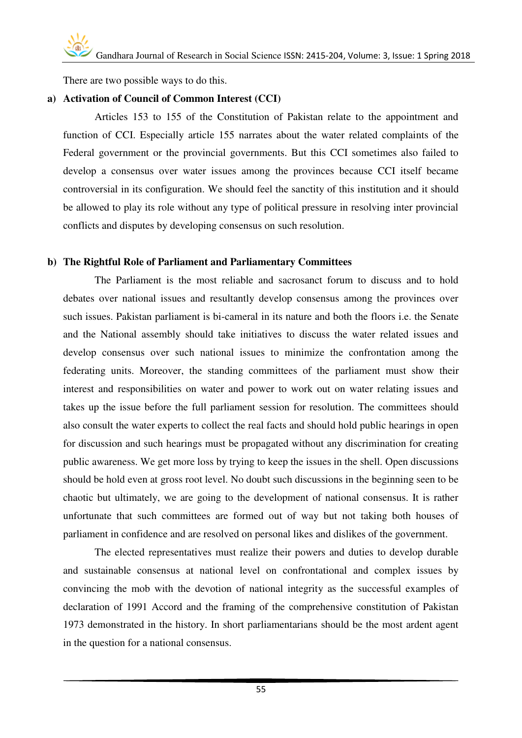There are two possible ways to do this.

#### **a) Activation of Council of Common Interest (CCI)**

Articles 153 to 155 of the Constitution of Pakistan relate to the appointment and function of CCI. Especially article 155 narrates about the water related complaints of the Federal government or the provincial governments. But this CCI sometimes also failed to develop a consensus over water issues among the provinces because CCI itself became controversial in its configuration. We should feel the sanctity of this institution and it should be allowed to play its role without any type of political pressure in resolving inter provincial conflicts and disputes by developing consensus on such resolution.

#### **b) The Rightful Role of Parliament and Parliamentary Committees**

The Parliament is the most reliable and sacrosanct forum to discuss and to hold debates over national issues and resultantly develop consensus among the provinces over such issues. Pakistan parliament is bi-cameral in its nature and both the floors i.e. the Senate and the National assembly should take initiatives to discuss the water related issues and develop consensus over such national issues to minimize the confrontation among the federating units. Moreover, the standing committees of the parliament must show their interest and responsibilities on water and power to work out on water relating issues and takes up the issue before the full parliament session for resolution. The committees should also consult the water experts to collect the real facts and should hold public hearings in open for discussion and such hearings must be propagated without any discrimination for creating public awareness. We get more loss by trying to keep the issues in the shell. Open discussions should be hold even at gross root level. No doubt such discussions in the beginning seen to be chaotic but ultimately, we are going to the development of national consensus. It is rather unfortunate that such committees are formed out of way but not taking both houses of parliament in confidence and are resolved on personal likes and dislikes of the government.

The elected representatives must realize their powers and duties to develop durable and sustainable consensus at national level on confrontational and complex issues by convincing the mob with the devotion of national integrity as the successful examples of declaration of 1991 Accord and the framing of the comprehensive constitution of Pakistan 1973 demonstrated in the history. In short parliamentarians should be the most ardent agent in the question for a national consensus.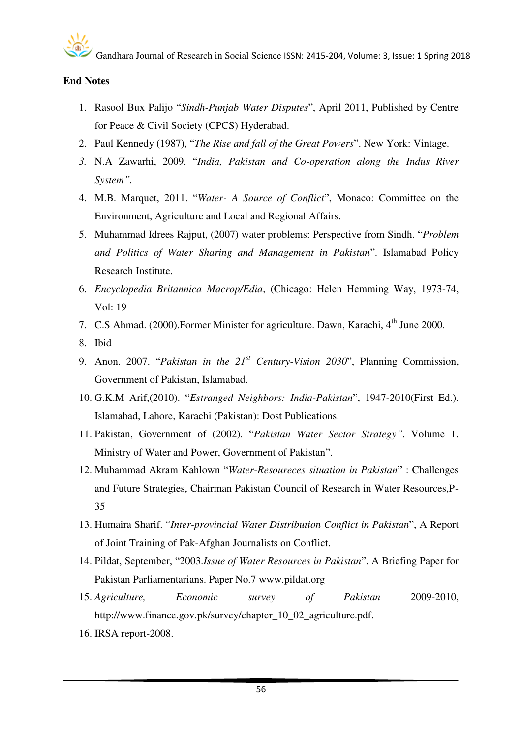#### **End Notes**

- 1. Rasool Bux Palijo "*Sindh-Punjab Water Disputes*", April 2011, Published by Centre for Peace & Civil Society (CPCS) Hyderabad.
- 2. Paul Kennedy (1987), "*The Rise and fall of the Great Powers*". New York: Vintage.
- *3.* N.A Zawarhi, 2009. "*India, Pakistan and Co-operation along the Indus River System".*
- 4. M.B. Marquet, 2011. "*Water- A Source of Conflict*", Monaco: Committee on the Environment, Agriculture and Local and Regional Affairs.
- 5. Muhammad Idrees Rajput, (2007) water problems: Perspective from Sindh. "*Problem and Politics of Water Sharing and Management in Pakistan*". Islamabad Policy Research Institute.
- 6. *Encyclopedia Britannica Macrop/Edia*, (Chicago: Helen Hemming Way, 1973-74, Vol: 19
- 7. C.S Ahmad. (2000). Former Minister for agriculture. Dawn, Karachi, 4<sup>th</sup> June 2000.
- 8. Ibid
- 9. Anon. 2007. "*Pakistan in the 21st Century-Vision 2030*", Planning Commission, Government of Pakistan, Islamabad.
- 10. G.K.M Arif,(2010). "*Estranged Neighbors: India-Pakistan*", 1947-2010(First Ed.). Islamabad, Lahore, Karachi (Pakistan): Dost Publications.
- 11. Pakistan, Government of (2002). "*Pakistan Water Sector Strategy"*. Volume 1. Ministry of Water and Power, Government of Pakistan".
- 12. Muhammad Akram Kahlown "*Water-Resoureces situation in Pakistan*" : Challenges and Future Strategies, Chairman Pakistan Council of Research in Water Resources,P-35
- 13. Humaira Sharif. "*Inter-provincial Water Distribution Conflict in Pakistan*", A Report of Joint Training of Pak-Afghan Journalists on Conflict.
- 14. Pildat, September, "2003.*Issue of Water Resources in Pakistan*". A Briefing Paper for Pakistan Parliamentarians. Paper No.7 [www.pildat.org](http://www.pildat.org/)
- 15. *Agriculture, Economic survey of Pakistan* 2009-2010, [http://www.finance.gov.pk/survey/chapter\\_10\\_02\\_agriculture.pdf.](http://www.finance.gov.pk/survey/chapter_10_02_agriculture.pdf)
- 16. IRSA report-2008.